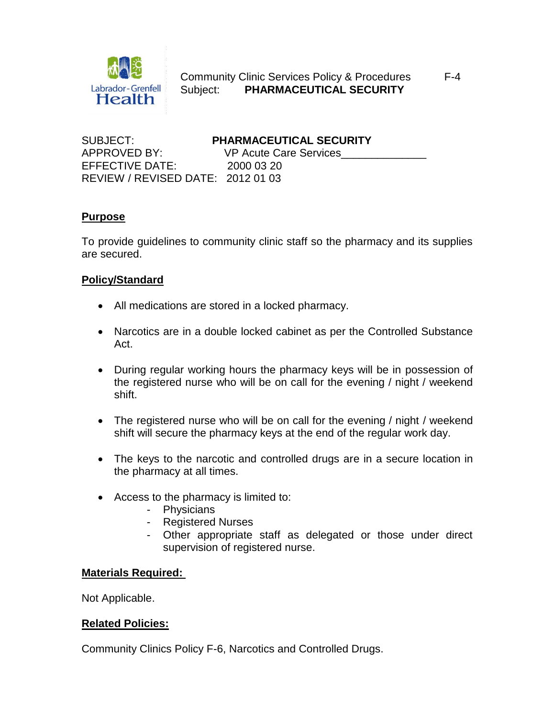

 Community Clinic Services Policy & Procedures F-4 Subject: **PHARMACEUTICAL SECURITY**

SUBJECT: **PHARMACEUTICAL SECURITY** APPROVED BY: VP Acute Care Services EFFECTIVE DATE: 2000 03 20 REVIEW / REVISED DATE: 2012 01 03

### **Purpose**

To provide guidelines to community clinic staff so the pharmacy and its supplies are secured.

### **Policy/Standard**

- All medications are stored in a locked pharmacy.
- Narcotics are in a double locked cabinet as per the Controlled Substance Act.
- During regular working hours the pharmacy keys will be in possession of the registered nurse who will be on call for the evening / night / weekend shift.
- The registered nurse who will be on call for the evening / night / weekend shift will secure the pharmacy keys at the end of the regular work day.
- The keys to the narcotic and controlled drugs are in a secure location in the pharmacy at all times.
- Access to the pharmacy is limited to:
	- Physicians
	- Registered Nurses
	- Other appropriate staff as delegated or those under direct supervision of registered nurse.

### **Materials Required:**

Not Applicable.

### **Related Policies:**

Community Clinics Policy F-6, Narcotics and Controlled Drugs.